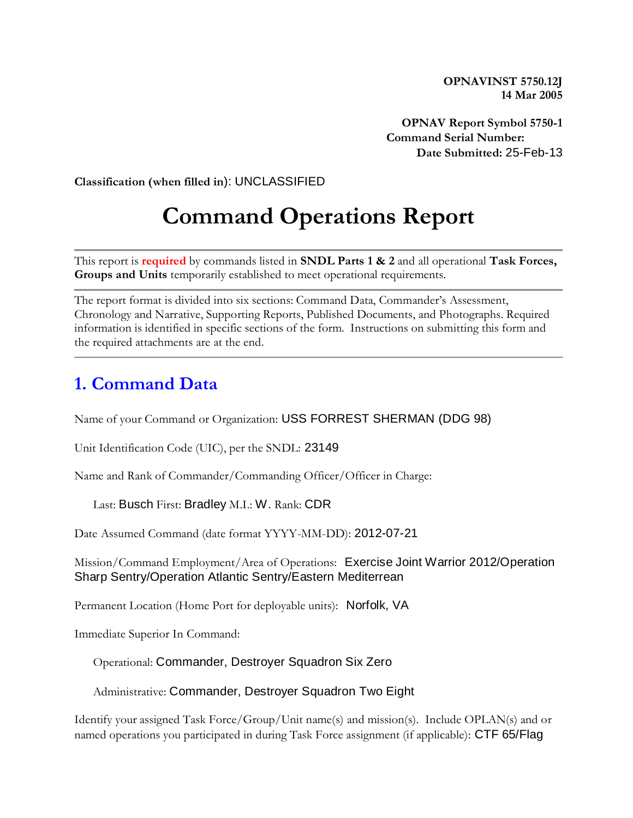**OPNAVINST 5750.12J 14 Mar 2005**

**OPNAV Report Symbol 5750-1 Command Serial Number: Date Submitted:** 25-Feb-13

**Classification (when filled in**): UNCLASSIFIED

# **Command Operations Report**

This report is **required** by commands listed in **SNDL Parts 1 & 2** and all operational **Task Forces, Groups and Units** temporarily established to meet operational requirements.

The report format is divided into six sections: Command Data, Commander's Assessment, Chronology and Narrative, Supporting Reports, Published Documents, and Photographs. Required information is identified in specific sections of the form. Instructions on submitting this form and the required attachments are at the end.

#### **1. Command Data**

Name of your Command or Organization: USS FORREST SHERMAN (DDG 98)

Unit Identification Code (UIC), per the SNDL: 23149

Name and Rank of Commander/Commanding Officer/Officer in Charge:

Last: Busch First: Bradley M.I.: W. Rank: CDR

Date Assumed Command (date format YYYY-MM-DD): 2012-07-21

Mission/Command Employment/Area of Operations: Exercise Joint Warrior 2012/Operation Sharp Sentry/Operation Atlantic Sentry/Eastern Mediterrean

Permanent Location (Home Port for deployable units): Norfolk, VA

Immediate Superior In Command:

Operational: Commander, Destroyer Squadron Six Zero

Administrative: Commander, Destroyer Squadron Two Eight

Identify your assigned Task Force/Group/Unit name(s) and mission(s). Include OPLAN(s) and or named operations you participated in during Task Force assignment (if applicable): CTF 65/Flag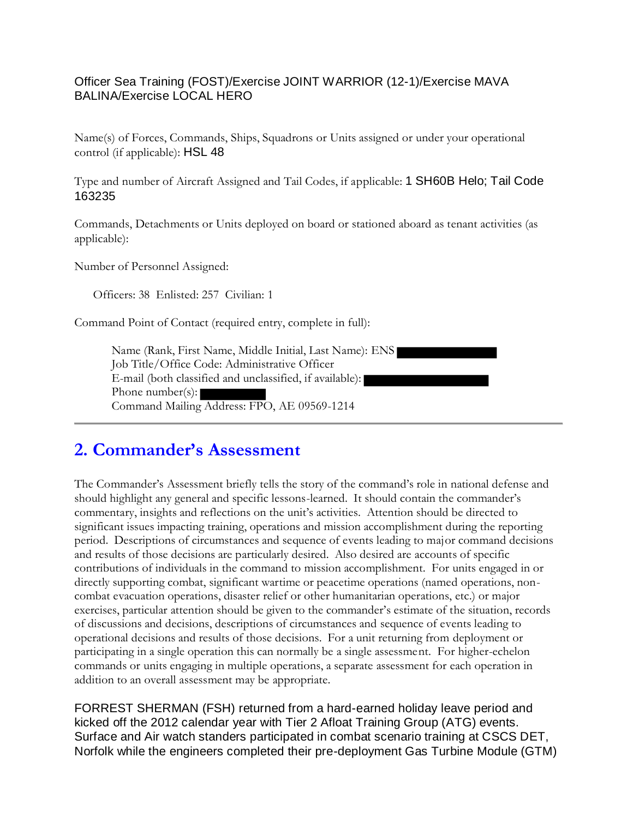#### Officer Sea Training (FOST)/Exercise JOINT WARRIOR (12-1)/Exercise MAVA BALINA/Exercise LOCAL HERO

Name(s) of Forces, Commands, Ships, Squadrons or Units assigned or under your operational control (if applicable): HSL 48

Type and number of Aircraft Assigned and Tail Codes, if applicable: 1 SH60B Helo; Tail Code 163235

Commands, Detachments or Units deployed on board or stationed aboard as tenant activities (as applicable):

Number of Personnel Assigned:

Officers: 38 Enlisted: 257 Civilian: 1

Command Point of Contact (required entry, complete in full):

Name (Rank, First Name, Middle Initial, Last Name): ENS Job Title/Office Code: Administrative Officer E-mail (both classified and unclassified, if available): Phone number(s): Command Mailing Address: FPO, AE 09569-1214

### **2. Commander's Assessment**

The Commander's Assessment briefly tells the story of the command's role in national defense and should highlight any general and specific lessons-learned. It should contain the commander's commentary, insights and reflections on the unit's activities. Attention should be directed to significant issues impacting training, operations and mission accomplishment during the reporting period. Descriptions of circumstances and sequence of events leading to major command decisions and results of those decisions are particularly desired. Also desired are accounts of specific contributions of individuals in the command to mission accomplishment. For units engaged in or directly supporting combat, significant wartime or peacetime operations (named operations, noncombat evacuation operations, disaster relief or other humanitarian operations, etc.) or major exercises, particular attention should be given to the commander's estimate of the situation, records of discussions and decisions, descriptions of circumstances and sequence of events leading to operational decisions and results of those decisions. For a unit returning from deployment or participating in a single operation this can normally be a single assessment. For higher-echelon commands or units engaging in multiple operations, a separate assessment for each operation in addition to an overall assessment may be appropriate.

FORREST SHERMAN (FSH) returned from a hard-earned holiday leave period and kicked off the 2012 calendar year with Tier 2 Afloat Training Group (ATG) events. Surface and Air watch standers participated in combat scenario training at CSCS DET, Norfolk while the engineers completed their pre-deployment Gas Turbine Module (GTM)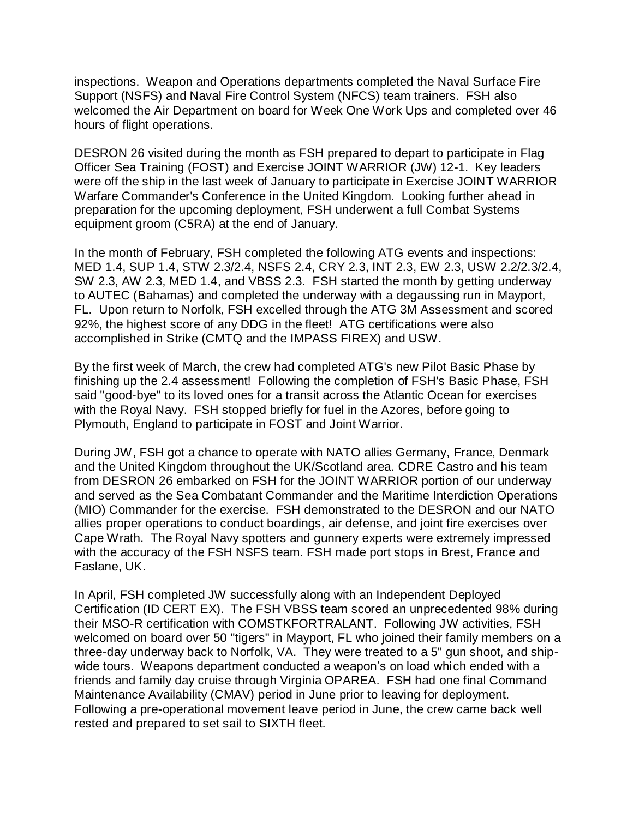inspections. Weapon and Operations departments completed the Naval Surface Fire Support (NSFS) and Naval Fire Control System (NFCS) team trainers. FSH also welcomed the Air Department on board for Week One Work Ups and completed over 46 hours of flight operations.

DESRON 26 visited during the month as FSH prepared to depart to participate in Flag Officer Sea Training (FOST) and Exercise JOINT WARRIOR (JW) 12-1. Key leaders were off the ship in the last week of January to participate in Exercise JOINT WARRIOR Warfare Commander's Conference in the United Kingdom. Looking further ahead in preparation for the upcoming deployment, FSH underwent a full Combat Systems equipment groom (C5RA) at the end of January.

In the month of February, FSH completed the following ATG events and inspections: MED 1.4, SUP 1.4, STW 2.3/2.4, NSFS 2.4, CRY 2.3, INT 2.3, EW 2.3, USW 2.2/2.3/2.4, SW 2.3, AW 2.3, MED 1.4, and VBSS 2.3. FSH started the month by getting underway to AUTEC (Bahamas) and completed the underway with a degaussing run in Mayport, FL. Upon return to Norfolk, FSH excelled through the ATG 3M Assessment and scored 92%, the highest score of any DDG in the fleet! ATG certifications were also accomplished in Strike (CMTQ and the IMPASS FIREX) and USW.

By the first week of March, the crew had completed ATG's new Pilot Basic Phase by finishing up the 2.4 assessment! Following the completion of FSH's Basic Phase, FSH said "good-bye" to its loved ones for a transit across the Atlantic Ocean for exercises with the Royal Navy. FSH stopped briefly for fuel in the Azores, before going to Plymouth, England to participate in FOST and Joint Warrior.

During JW, FSH got a chance to operate with NATO allies Germany, France, Denmark and the United Kingdom throughout the UK/Scotland area. CDRE Castro and his team from DESRON 26 embarked on FSH for the JOINT WARRIOR portion of our underway and served as the Sea Combatant Commander and the Maritime Interdiction Operations (MIO) Commander for the exercise. FSH demonstrated to the DESRON and our NATO allies proper operations to conduct boardings, air defense, and joint fire exercises over Cape Wrath. The Royal Navy spotters and gunnery experts were extremely impressed with the accuracy of the FSH NSFS team. FSH made port stops in Brest, France and Faslane, UK.

In April, FSH completed JW successfully along with an Independent Deployed Certification (ID CERT EX). The FSH VBSS team scored an unprecedented 98% during their MSO-R certification with COMSTKFORTRALANT. Following JW activities, FSH welcomed on board over 50 "tigers" in Mayport, FL who joined their family members on a three-day underway back to Norfolk, VA. They were treated to a 5" gun shoot, and shipwide tours. Weapons department conducted a weapon's on load which ended with a friends and family day cruise through Virginia OPAREA. FSH had one final Command Maintenance Availability (CMAV) period in June prior to leaving for deployment. Following a pre-operational movement leave period in June, the crew came back well rested and prepared to set sail to SIXTH fleet.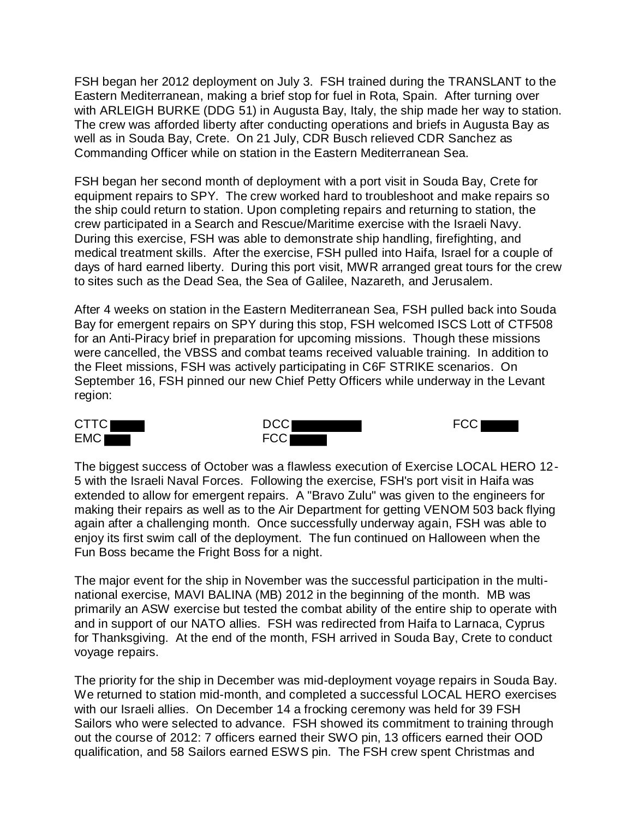FSH began her 2012 deployment on July 3. FSH trained during the TRANSLANT to the Eastern Mediterranean, making a brief stop for fuel in Rota, Spain. After turning over with ARLEIGH BURKE (DDG 51) in Augusta Bay, Italy, the ship made her way to station. The crew was afforded liberty after conducting operations and briefs in Augusta Bay as well as in Souda Bay, Crete. On 21 July, CDR Busch relieved CDR Sanchez as Commanding Officer while on station in the Eastern Mediterranean Sea.

FSH began her second month of deployment with a port visit in Souda Bay, Crete for equipment repairs to SPY. The crew worked hard to troubleshoot and make repairs so the ship could return to station. Upon completing repairs and returning to station, the crew participated in a Search and Rescue/Maritime exercise with the Israeli Navy. During this exercise, FSH was able to demonstrate ship handling, firefighting, and medical treatment skills. After the exercise, FSH pulled into Haifa, Israel for a couple of days of hard earned liberty. During this port visit, MWR arranged great tours for the crew to sites such as the Dead Sea, the Sea of Galilee, Nazareth, and Jerusalem.

After 4 weeks on station in the Eastern Mediterranean Sea, FSH pulled back into Souda Bay for emergent repairs on SPY during this stop, FSH welcomed ISCS Lott of CTF508 for an Anti-Piracy brief in preparation for upcoming missions. Though these missions were cancelled, the VBSS and combat teams received valuable training. In addition to the Fleet missions, FSH was actively participating in C6F STRIKE scenarios. On September 16, FSH pinned our new Chief Petty Officers while underway in the Levant region:







The biggest success of October was a flawless execution of Exercise LOCAL HERO 12- 5 with the Israeli Naval Forces. Following the exercise, FSH's port visit in Haifa was extended to allow for emergent repairs. A "Bravo Zulu" was given to the engineers for making their repairs as well as to the Air Department for getting VENOM 503 back flying again after a challenging month. Once successfully underway again, FSH was able to enjoy its first swim call of the deployment. The fun continued on Halloween when the Fun Boss became the Fright Boss for a night.

The major event for the ship in November was the successful participation in the multinational exercise, MAVI BALINA (MB) 2012 in the beginning of the month. MB was primarily an ASW exercise but tested the combat ability of the entire ship to operate with and in support of our NATO allies. FSH was redirected from Haifa to Larnaca, Cyprus for Thanksgiving. At the end of the month, FSH arrived in Souda Bay, Crete to conduct voyage repairs.

The priority for the ship in December was mid-deployment voyage repairs in Souda Bay. We returned to station mid-month, and completed a successful LOCAL HERO exercises with our Israeli allies. On December 14 a frocking ceremony was held for 39 FSH Sailors who were selected to advance. FSH showed its commitment to training through out the course of 2012: 7 officers earned their SWO pin, 13 officers earned their OOD qualification, and 58 Sailors earned ESWS pin. The FSH crew spent Christmas and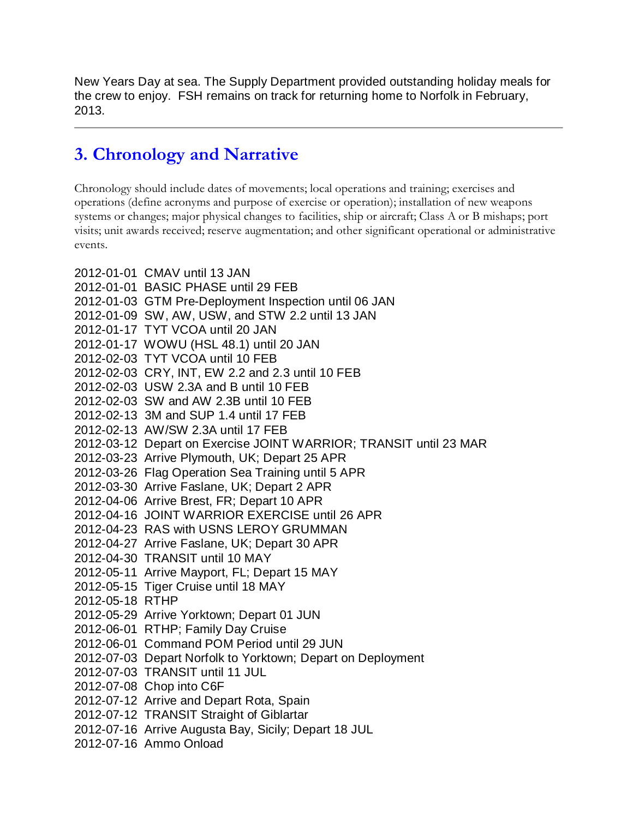New Years Day at sea. The Supply Department provided outstanding holiday meals for the crew to enjoy. FSH remains on track for returning home to Norfolk in February, 2013.

### **3. Chronology and Narrative**

Chronology should include dates of movements; local operations and training; exercises and operations (define acronyms and purpose of exercise or operation); installation of new weapons systems or changes; major physical changes to facilities, ship or aircraft; Class A or B mishaps; port visits; unit awards received; reserve augmentation; and other significant operational or administrative events.

2012-01-01 CMAV until 13 JAN 2012-01-01 BASIC PHASE until 29 FEB 2012-01-03 GTM Pre-Deployment Inspection until 06 JAN 2012-01-09 SW, AW, USW, and STW 2.2 until 13 JAN 2012-01-17 TYT VCOA until 20 JAN 2012-01-17 WOWU (HSL 48.1) until 20 JAN 2012-02-03 TYT VCOA until 10 FEB 2012-02-03 CRY, INT, EW 2.2 and 2.3 until 10 FEB 2012-02-03 USW 2.3A and B until 10 FEB 2012-02-03 SW and AW 2.3B until 10 FEB 2012-02-13 3M and SUP 1.4 until 17 FEB 2012-02-13 AW/SW 2.3A until 17 FEB 2012-03-12 Depart on Exercise JOINT WARRIOR; TRANSIT until 23 MAR 2012-03-23 Arrive Plymouth, UK; Depart 25 APR 2012-03-26 Flag Operation Sea Training until 5 APR 2012-03-30 Arrive Faslane, UK; Depart 2 APR 2012-04-06 Arrive Brest, FR; Depart 10 APR 2012-04-16 JOINT WARRIOR EXERCISE until 26 APR 2012-04-23 RAS with USNS LEROY GRUMMAN 2012-04-27 Arrive Faslane, UK; Depart 30 APR 2012-04-30 TRANSIT until 10 MAY 2012-05-11 Arrive Mayport, FL; Depart 15 MAY 2012-05-15 Tiger Cruise until 18 MAY 2012-05-18 RTHP 2012-05-29 Arrive Yorktown; Depart 01 JUN 2012-06-01 RTHP; Family Day Cruise 2012-06-01 Command POM Period until 29 JUN 2012-07-03 Depart Norfolk to Yorktown; Depart on Deployment 2012-07-03 TRANSIT until 11 JUL 2012-07-08 Chop into C6F 2012-07-12 Arrive and Depart Rota, Spain 2012-07-12 TRANSIT Straight of Giblartar 2012-07-16 Arrive Augusta Bay, Sicily; Depart 18 JUL 2012-07-16 Ammo Onload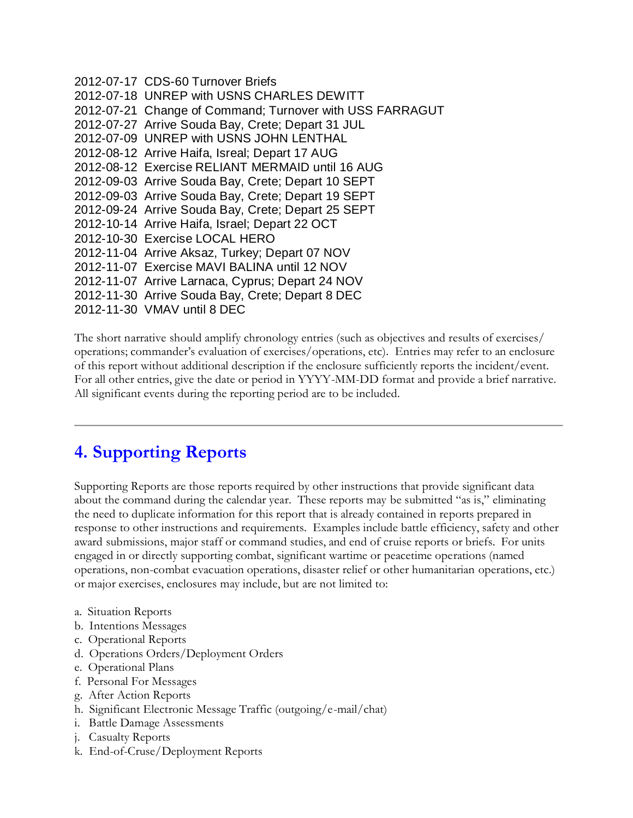```
2012-07-17 CDS-60 Turnover Briefs
2012-07-18 UNREP with USNS CHARLES DEWITT
2012-07-21 Change of Command; Turnover with USS FARRAGUT
2012-07-27 Arrive Souda Bay, Crete; Depart 31 JUL
2012-07-09 UNREP with USNS JOHN LENTHAL
2012-08-12 Arrive Haifa, Isreal; Depart 17 AUG
2012-08-12 Exercise RELIANT MERMAID until 16 AUG
2012-09-03 Arrive Souda Bay, Crete; Depart 10 SEPT
2012-09-03 Arrive Souda Bay, Crete; Depart 19 SEPT 
2012-09-24 Arrive Souda Bay, Crete; Depart 25 SEPT
2012-10-14 Arrive Haifa, Israel; Depart 22 OCT
2012-10-30 Exercise LOCAL HERO
2012-11-04 Arrive Aksaz, Turkey; Depart 07 NOV
2012-11-07 Exercise MAVI BALINA until 12 NOV
2012-11-07 Arrive Larnaca, Cyprus; Depart 24 NOV
2012-11-30 Arrive Souda Bay, Crete; Depart 8 DEC
2012-11-30 VMAV until 8 DEC
```
The short narrative should amplify chronology entries (such as objectives and results of exercises/ operations; commander's evaluation of exercises/operations, etc). Entries may refer to an enclosure of this report without additional description if the enclosure sufficiently reports the incident/event. For all other entries, give the date or period in YYYY-MM-DD format and provide a brief narrative. All significant events during the reporting period are to be included.

#### **4. Supporting Reports**

Supporting Reports are those reports required by other instructions that provide significant data about the command during the calendar year. These reports may be submitted "as is," eliminating the need to duplicate information for this report that is already contained in reports prepared in response to other instructions and requirements. Examples include battle efficiency, safety and other award submissions, major staff or command studies, and end of cruise reports or briefs. For units engaged in or directly supporting combat, significant wartime or peacetime operations (named operations, non-combat evacuation operations, disaster relief or other humanitarian operations, etc.) or major exercises, enclosures may include, but are not limited to:

- a. Situation Reports
- b. Intentions Messages
- c. Operational Reports
- d. Operations Orders/Deployment Orders
- e. Operational Plans
- f. Personal For Messages
- g. After Action Reports
- h. Significant Electronic Message Traffic (outgoing/e-mail/chat)
- i. Battle Damage Assessments
- j. Casualty Reports
- k. End-of-Cruse/Deployment Reports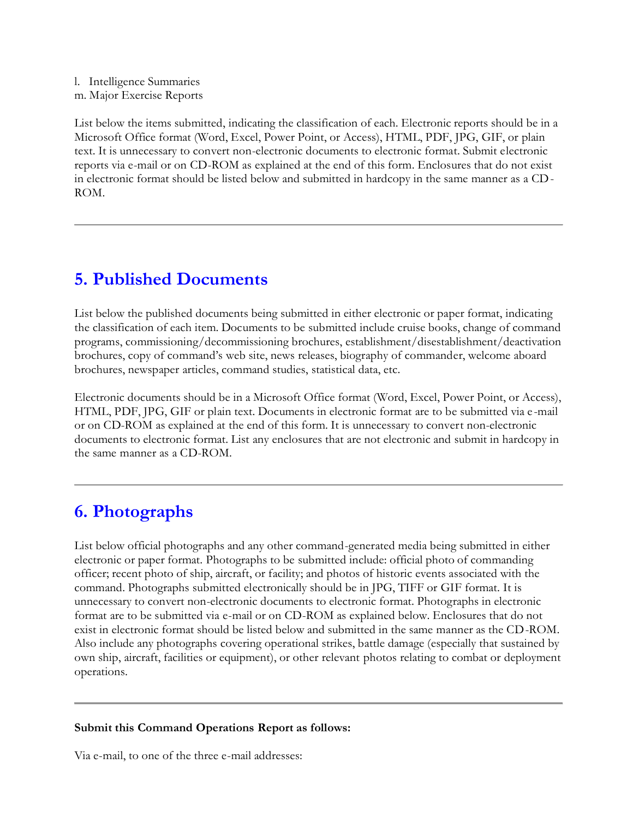l. Intelligence Summaries m. Major Exercise Reports

List below the items submitted, indicating the classification of each. Electronic reports should be in a Microsoft Office format (Word, Excel, Power Point, or Access), HTML, PDF, JPG, GIF, or plain text. It is unnecessary to convert non-electronic documents to electronic format. Submit electronic reports via e-mail or on CD-ROM as explained at the end of this form. Enclosures that do not exist in electronic format should be listed below and submitted in hardcopy in the same manner as a CD-ROM.

### **5. Published Documents**

List below the published documents being submitted in either electronic or paper format, indicating the classification of each item. Documents to be submitted include cruise books, change of command programs, commissioning/decommissioning brochures, establishment/disestablishment/deactivation brochures, copy of command's web site, news releases, biography of commander, welcome aboard brochures, newspaper articles, command studies, statistical data, etc.

Electronic documents should be in a Microsoft Office format (Word, Excel, Power Point, or Access), HTML, PDF, JPG, GIF or plain text. Documents in electronic format are to be submitted via e -mail or on CD-ROM as explained at the end of this form. It is unnecessary to convert non-electronic documents to electronic format. List any enclosures that are not electronic and submit in hardcopy in the same manner as a CD-ROM.

## **6. Photographs**

List below official photographs and any other command-generated media being submitted in either electronic or paper format. Photographs to be submitted include: official photo of commanding officer; recent photo of ship, aircraft, or facility; and photos of historic events associated with the command. Photographs submitted electronically should be in JPG, TIFF or GIF format. It is unnecessary to convert non-electronic documents to electronic format. Photographs in electronic format are to be submitted via e-mail or on CD-ROM as explained below. Enclosures that do not exist in electronic format should be listed below and submitted in the same manner as the CD-ROM. Also include any photographs covering operational strikes, battle damage (especially that sustained by own ship, aircraft, facilities or equipment), or other relevant photos relating to combat or deployment operations.

#### **Submit this Command Operations Report as follows:**

Via e-mail, to one of the three e-mail addresses: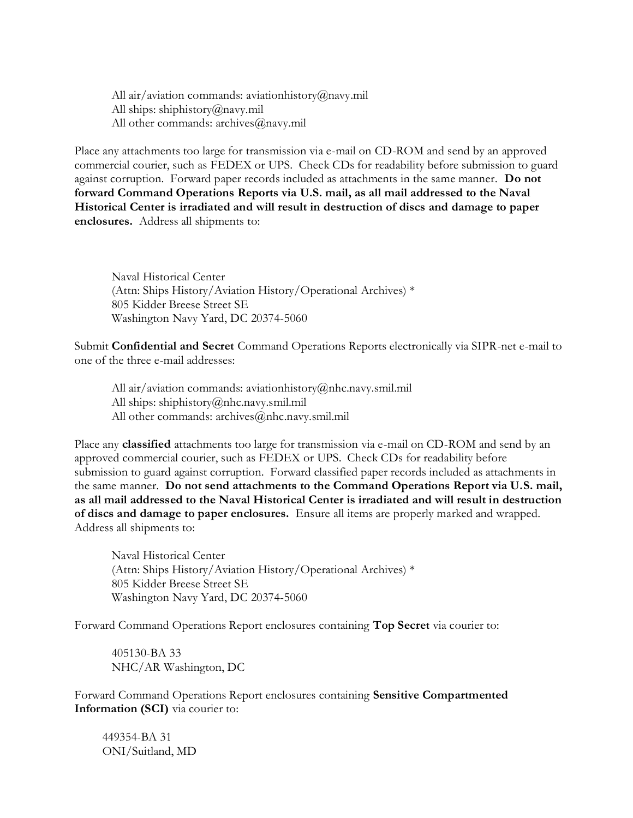All air/aviation commands: aviationhistory@navy.mil All ships: shiphistory@navy.mil All other commands: archives@navy.mil

Place any attachments too large for transmission via e-mail on CD-ROM and send by an approved commercial courier, such as FEDEX or UPS. Check CDs for readability before submission to guard against corruption. Forward paper records included as attachments in the same manner. **Do not forward Command Operations Reports via U.S. mail, as all mail addressed to the Naval Historical Center is irradiated and will result in destruction of discs and damage to paper enclosures.** Address all shipments to:

Naval Historical Center (Attn: Ships History/Aviation History/Operational Archives) \* 805 Kidder Breese Street SE Washington Navy Yard, DC 20374-5060

Submit **Confidential and Secret** Command Operations Reports electronically via SIPR-net e-mail to one of the three e-mail addresses:

All air/aviation commands: aviationhistory@nhc.navy.smil.mil All ships: shiphistory@nhc.navy.smil.mil All other commands: archives@nhc.navy.smil.mil

Place any **classified** attachments too large for transmission via e-mail on CD-ROM and send by an approved commercial courier, such as FEDEX or UPS. Check CDs for readability before submission to guard against corruption. Forward classified paper records included as attachments in the same manner. **Do not send attachments to the Command Operations Report via U.S. mail, as all mail addressed to the Naval Historical Center is irradiated and will result in destruction of discs and damage to paper enclosures.** Ensure all items are properly marked and wrapped. Address all shipments to:

Naval Historical Center (Attn: Ships History/Aviation History/Operational Archives) \* 805 Kidder Breese Street SE Washington Navy Yard, DC 20374-5060

Forward Command Operations Report enclosures containing **Top Secret** via courier to:

405130-BA 33 NHC/AR Washington, DC

Forward Command Operations Report enclosures containing **Sensitive Compartmented Information (SCI)** via courier to:

449354-BA 31 ONI/Suitland, MD